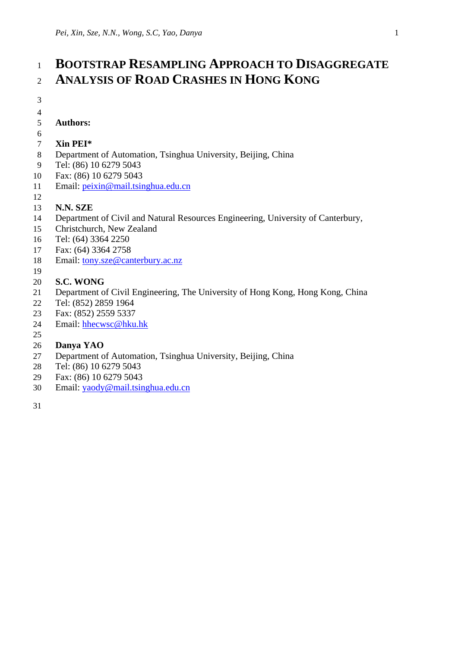# <sup>1</sup>**BOOTSTRAP RESAMPLING APPROACH TO DISAGGREGATE**  <sup>2</sup>**ANALYSIS OF ROAD CRASHES IN HONG KONG**

- 3
- 4
- 5 **Authors:**

#### 6 7 **Xin PEI\***

- 8 Department of Automation, Tsinghua University, Beijing, China
- 9 Tel: (86) 10 6279 5043
- 10 Fax: (86) 10 6279 5043
- 11 Email: peixin@mail.tsinghua.edu.cn
- 12

# 13 **N.N. SZE**

- 14 Department of Civil and Natural Resources Engineering, University of Canterbury,
- 15 Christchurch, New Zealand
- 16 Tel: (64) 3364 2250
- 17 Fax: (64) 3364 2758
- 18 Email: tony.sze@canterbury.ac.nz
- 19

# 20 **S.C. WONG**

- 21 Department of Civil Engineering, The University of Hong Kong, Hong Kong, China
- 22 Tel: (852) 2859 1964
- 23 Fax: (852) 2559 5337
- 24 Email: hhecwsc@hku.hk

# 25 26 **Danya YAO**

- 27 Department of Automation, Tsinghua University, Beijing, China
- 28 Tel: (86) 10 6279 5043
- 29 Fax: (86) 10 6279 5043
- 30 Email: yaody@mail.tsinghua.edu.cn
- 31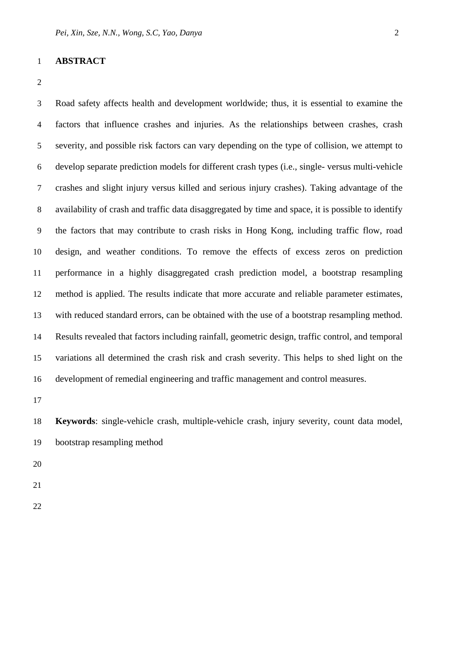#### 1 **ABSTRACT**

2

3 Road safety affects health and development worldwide; thus, it is essential to examine the 4 factors that influence crashes and injuries. As the relationships between crashes, crash 5 severity, and possible risk factors can vary depending on the type of collision, we attempt to 6 develop separate prediction models for different crash types (i.e., single- versus multi-vehicle 7 crashes and slight injury versus killed and serious injury crashes). Taking advantage of the 8 availability of crash and traffic data disaggregated by time and space, it is possible to identify 9 the factors that may contribute to crash risks in Hong Kong, including traffic flow, road 10 design, and weather conditions. To remove the effects of excess zeros on prediction 11 performance in a highly disaggregated crash prediction model, a bootstrap resampling 12 method is applied. The results indicate that more accurate and reliable parameter estimates, 13 with reduced standard errors, can be obtained with the use of a bootstrap resampling method. 14 Results revealed that factors including rainfall, geometric design, traffic control, and temporal 15 variations all determined the crash risk and crash severity. This helps to shed light on the 16 development of remedial engineering and traffic management and control measures.

17

18 **Keywords**: single-vehicle crash, multiple-vehicle crash, injury severity, count data model, 19 bootstrap resampling method

20

- 21
- 22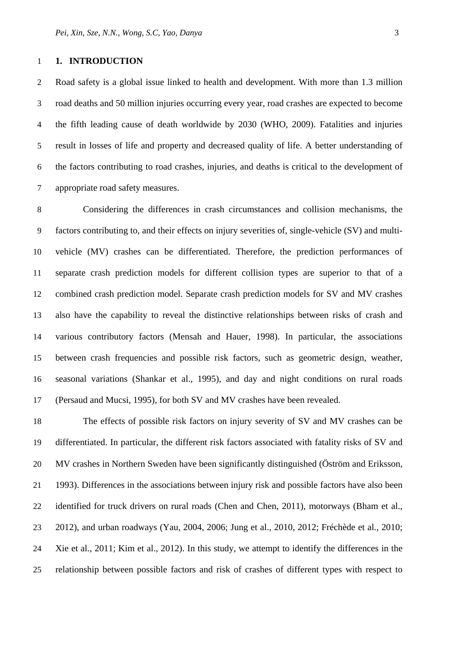# 1 **1. INTRODUCTION**

2 Road safety is a global issue linked to health and development. With more than 1.3 million 3 road deaths and 50 million injuries occurring every year, road crashes are expected to become 4 the fifth leading cause of death worldwide by 2030 (WHO, 2009). Fatalities and injuries 5 result in losses of life and property and decreased quality of life. A better understanding of 6 the factors contributing to road crashes, injuries, and deaths is critical to the development of 7 appropriate road safety measures.

8 Considering the differences in crash circumstances and collision mechanisms, the 9 factors contributing to, and their effects on injury severities of, single-vehicle (SV) and multi-10 vehicle (MV) crashes can be differentiated. Therefore, the prediction performances of 11 separate crash prediction models for different collision types are superior to that of a 12 combined crash prediction model. Separate crash prediction models for SV and MV crashes 13 also have the capability to reveal the distinctive relationships between risks of crash and 14 various contributory factors (Mensah and Hauer, 1998). In particular, the associations 15 between crash frequencies and possible risk factors, such as geometric design, weather, 16 seasonal variations (Shankar et al., 1995), and day and night conditions on rural roads 17 (Persaud and Mucsi, 1995), for both SV and MV crashes have been revealed.

18 The effects of possible risk factors on injury severity of SV and MV crashes can be 19 differentiated. In particular, the different risk factors associated with fatality risks of SV and 20 MV crashes in Northern Sweden have been significantly distinguished (Öström and Eriksson, 21 1993). Differences in the associations between injury risk and possible factors have also been 22 identified for truck drivers on rural roads (Chen and Chen, 2011), motorways (Bham et al., 23 2012), and urban roadways (Yau, 2004, 2006; Jung et al., 2010, 2012; Fréchède et al., 2010; 24 Xie et al., 2011; Kim et al., 2012). In this study, we attempt to identify the differences in the 25 relationship between possible factors and risk of crashes of different types with respect to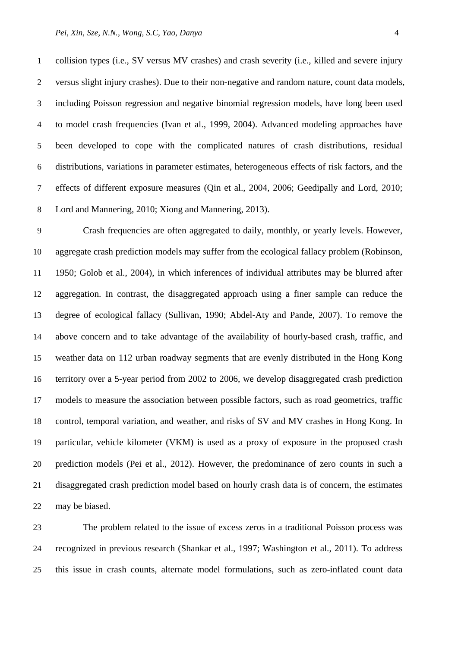1 collision types (i.e., SV versus MV crashes) and crash severity (i.e., killed and severe injury 2 versus slight injury crashes). Due to their non-negative and random nature, count data models, 3 including Poisson regression and negative binomial regression models, have long been used 4 to model crash frequencies (Ivan et al., 1999, 2004). Advanced modeling approaches have 5 been developed to cope with the complicated natures of crash distributions, residual 6 distributions, variations in parameter estimates, heterogeneous effects of risk factors, and the 7 effects of different exposure measures (Qin et al., 2004, 2006; Geedipally and Lord, 2010; 8 Lord and Mannering, 2010; Xiong and Mannering, 2013).

9 Crash frequencies are often aggregated to daily, monthly, or yearly levels. However, 10 aggregate crash prediction models may suffer from the ecological fallacy problem (Robinson, 11 1950; Golob et al., 2004), in which inferences of individual attributes may be blurred after 12 aggregation. In contrast, the disaggregated approach using a finer sample can reduce the 13 degree of ecological fallacy (Sullivan, 1990; Abdel-Aty and Pande, 2007). To remove the 14 above concern and to take advantage of the availability of hourly-based crash, traffic, and 15 weather data on 112 urban roadway segments that are evenly distributed in the Hong Kong 16 territory over a 5-year period from 2002 to 2006, we develop disaggregated crash prediction 17 models to measure the association between possible factors, such as road geometrics, traffic 18 control, temporal variation, and weather, and risks of SV and MV crashes in Hong Kong. In 19 particular, vehicle kilometer (VKM) is used as a proxy of exposure in the proposed crash 20 prediction models (Pei et al., 2012). However, the predominance of zero counts in such a 21 disaggregated crash prediction model based on hourly crash data is of concern, the estimates 22 may be biased.

23 The problem related to the issue of excess zeros in a traditional Poisson process was 24 recognized in previous research (Shankar et al., 1997; Washington et al., 2011). To address 25 this issue in crash counts, alternate model formulations, such as zero-inflated count data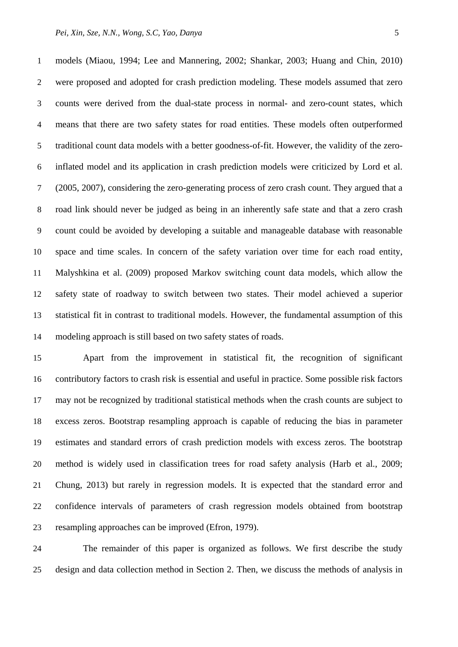1 models (Miaou, 1994; Lee and Mannering, 2002; Shankar, 2003; Huang and Chin, 2010) 2 were proposed and adopted for crash prediction modeling. These models assumed that zero 3 counts were derived from the dual-state process in normal- and zero-count states, which 4 means that there are two safety states for road entities. These models often outperformed 5 traditional count data models with a better goodness-of-fit. However, the validity of the zero-6 inflated model and its application in crash prediction models were criticized by Lord et al. 7 (2005, 2007), considering the zero-generating process of zero crash count. They argued that a 8 road link should never be judged as being in an inherently safe state and that a zero crash 9 count could be avoided by developing a suitable and manageable database with reasonable 10 space and time scales. In concern of the safety variation over time for each road entity, 11 Malyshkina et al. (2009) proposed Markov switching count data models, which allow the 12 safety state of roadway to switch between two states. Their model achieved a superior 13 statistical fit in contrast to traditional models. However, the fundamental assumption of this 14 modeling approach is still based on two safety states of roads.

15 Apart from the improvement in statistical fit, the recognition of significant 16 contributory factors to crash risk is essential and useful in practice. Some possible risk factors 17 may not be recognized by traditional statistical methods when the crash counts are subject to 18 excess zeros. Bootstrap resampling approach is capable of reducing the bias in parameter 19 estimates and standard errors of crash prediction models with excess zeros. The bootstrap 20 method is widely used in classification trees for road safety analysis (Harb et al., 2009; 21 Chung, 2013) but rarely in regression models. It is expected that the standard error and 22 confidence intervals of parameters of crash regression models obtained from bootstrap 23 resampling approaches can be improved (Efron, 1979).

24 The remainder of this paper is organized as follows. We first describe the study 25 design and data collection method in Section 2. Then, we discuss the methods of analysis in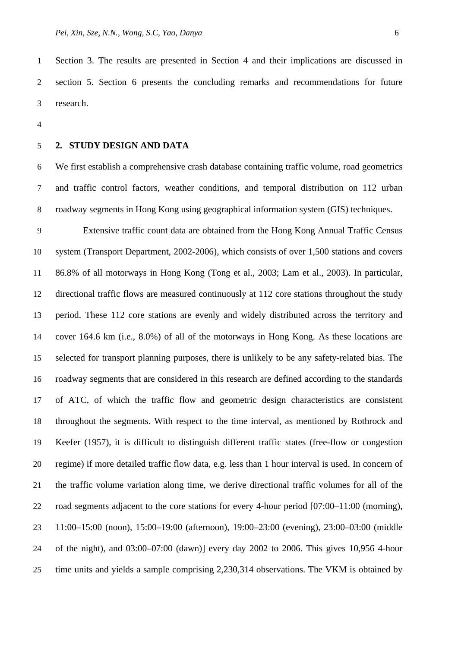1 Section 3. The results are presented in Section 4 and their implications are discussed in 2 section 5. Section 6 presents the concluding remarks and recommendations for future 3 research.

4

# 5 **2. STUDY DESIGN AND DATA**

6 We first establish a comprehensive crash database containing traffic volume, road geometrics 7 and traffic control factors, weather conditions, and temporal distribution on 112 urban 8 roadway segments in Hong Kong using geographical information system (GIS) techniques.

9 Extensive traffic count data are obtained from the Hong Kong Annual Traffic Census 10 system (Transport Department, 2002-2006), which consists of over 1,500 stations and covers 11 86.8% of all motorways in Hong Kong (Tong et al., 2003; Lam et al., 2003). In particular, 12 directional traffic flows are measured continuously at 112 core stations throughout the study 13 period. These 112 core stations are evenly and widely distributed across the territory and 14 cover 164.6 km (i.e., 8.0%) of all of the motorways in Hong Kong. As these locations are 15 selected for transport planning purposes, there is unlikely to be any safety-related bias. The 16 roadway segments that are considered in this research are defined according to the standards 17 of ATC, of which the traffic flow and geometric design characteristics are consistent 18 throughout the segments. With respect to the time interval, as mentioned by Rothrock and 19 Keefer (1957), it is difficult to distinguish different traffic states (free-flow or congestion 20 regime) if more detailed traffic flow data, e.g. less than 1 hour interval is used. In concern of 21 the traffic volume variation along time, we derive directional traffic volumes for all of the 22 road segments adjacent to the core stations for every 4-hour period [07:00–11:00 (morning), 23 11:00–15:00 (noon), 15:00–19:00 (afternoon), 19:00–23:00 (evening), 23:00–03:00 (middle 24 of the night), and 03:00–07:00 (dawn)] every day 2002 to 2006. This gives 10,956 4-hour 25 time units and yields a sample comprising 2,230,314 observations. The VKM is obtained by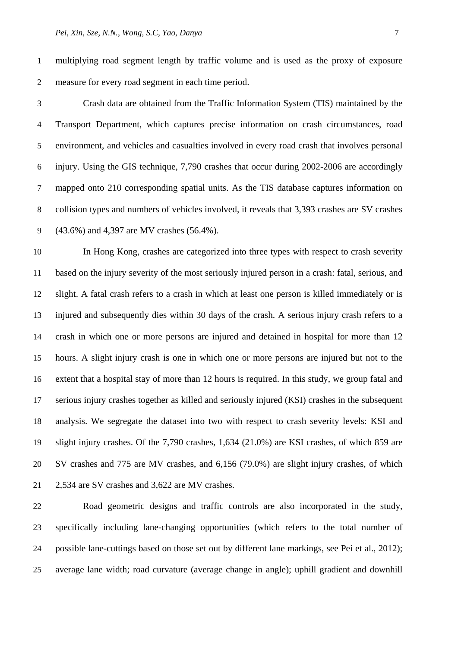1 multiplying road segment length by traffic volume and is used as the proxy of exposure 2 measure for every road segment in each time period.

3 Crash data are obtained from the Traffic Information System (TIS) maintained by the 4 Transport Department, which captures precise information on crash circumstances, road 5 environment, and vehicles and casualties involved in every road crash that involves personal 6 injury. Using the GIS technique, 7,790 crashes that occur during 2002-2006 are accordingly 7 mapped onto 210 corresponding spatial units. As the TIS database captures information on 8 collision types and numbers of vehicles involved, it reveals that 3,393 crashes are SV crashes 9 (43.6%) and 4,397 are MV crashes (56.4%).

10 In Hong Kong, crashes are categorized into three types with respect to crash severity 11 based on the injury severity of the most seriously injured person in a crash: fatal, serious, and 12 slight. A fatal crash refers to a crash in which at least one person is killed immediately or is 13 injured and subsequently dies within 30 days of the crash. A serious injury crash refers to a 14 crash in which one or more persons are injured and detained in hospital for more than 12 15 hours. A slight injury crash is one in which one or more persons are injured but not to the 16 extent that a hospital stay of more than 12 hours is required. In this study, we group fatal and 17 serious injury crashes together as killed and seriously injured (KSI) crashes in the subsequent 18 analysis. We segregate the dataset into two with respect to crash severity levels: KSI and 19 slight injury crashes. Of the 7,790 crashes, 1,634 (21.0%) are KSI crashes, of which 859 are 20 SV crashes and 775 are MV crashes, and 6,156 (79.0%) are slight injury crashes, of which 21 2,534 are SV crashes and 3,622 are MV crashes.

22 Road geometric designs and traffic controls are also incorporated in the study, 23 specifically including lane-changing opportunities (which refers to the total number of 24 possible lane-cuttings based on those set out by different lane markings, see Pei et al., 2012); 25 average lane width; road curvature (average change in angle); uphill gradient and downhill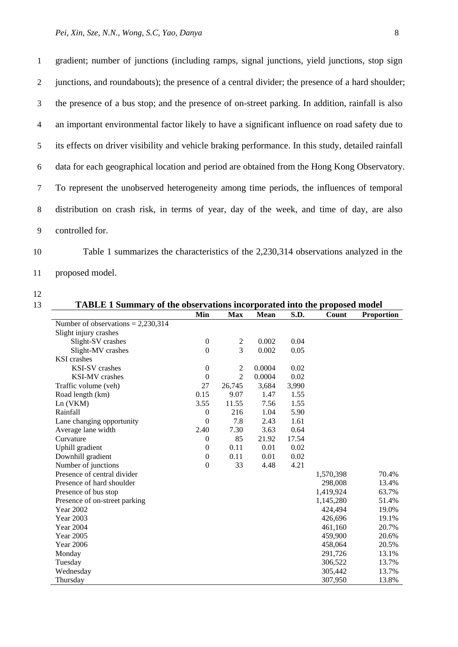1 gradient; number of junctions (including ramps, signal junctions, yield junctions, stop sign 2 junctions, and roundabouts); the presence of a central divider; the presence of a hard shoulder; 3 the presence of a bus stop; and the presence of on-street parking. In addition, rainfall is also 4 an important environmental factor likely to have a significant influence on road safety due to 5 its effects on driver visibility and vehicle braking performance. In this study, detailed rainfall 6 data for each geographical location and period are obtained from the Hong Kong Observatory. 7 To represent the unobserved heterogeneity among time periods, the influences of temporal 8 distribution on crash risk, in terms of year, day of the week, and time of day, are also 9 controlled for.

10 Table 1 summarizes the characteristics of the 2,230,314 observations analyzed in the

- 11 proposed model.
- 12

13 **TABLE 1 Summary of the observations incorporated into the proposed model Min Max Mean S.D. Count Proportion**  Number of observations = 2,230,314 Slight injury crashes Slight-SV crashes 0 2 0.002 0.04 Slight-MV crashes 0 3 0.002 0.05 KSI crashes KSI-SV crashes 0 2 0.0004 0.02 KSI-MV crashes 0 2 0.0004 0.02 Traffic volume (veh) 27 26,745 3,684 3,990 Road length (km)  $0.15$  9.07 1.47 1.55 Ln (VKM)<br>
Rainfall<br>
216 1.04 5.90 Rainfall 0 216 1.04 5.90 Lane changing opportunity  $0$  7.8 2.43 1.61 Average lane width 2.40 7.30 3.63 0.64 Curvature 0 85 21.92 17.54 Uphill gradient 0 0.11 0.01 0.02 Downhill gradient 0 0.11 0.01 0.02 Number of junctions 0 33 4.48 4.21 Presence of central divider 1,570,398 70.4% Presence of hard shoulder and the state of hard shoulder and the contract of hard shoulder and the 298,008 13.4% Presence of bus stop 1,419,924 63.7% Presence of on-street parking 1,145,280 51.4% Year 2002 19.0% Year 2003 19.1% and 2003 19.1% and 2003 19.1% and 2003 19.1% and 2003 19.1% and 2003 Year 2004 20.7% 20.7% Year 2005 20.6% Year 2006 20.5% 20.5% Monday 291,726 13.1% Tuesday 306,522 13.7% Wednesday 305,442 13.7% Thursday 307,950 13.8%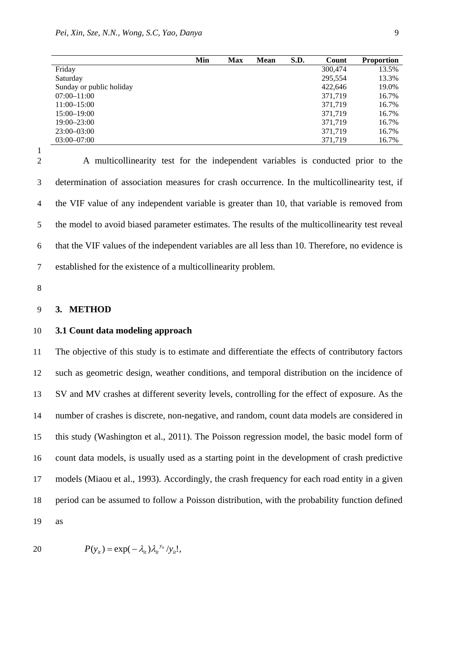|                          | Min | <b>Max</b> | <b>Mean</b> | S.D. | Count   | <b>Proportion</b> |
|--------------------------|-----|------------|-------------|------|---------|-------------------|
| Friday                   |     |            |             |      | 300,474 | 13.5%             |
| Saturday                 |     |            |             |      | 295,554 | 13.3%             |
| Sunday or public holiday |     |            |             |      | 422,646 | 19.0%             |
| $07:00 - 11:00$          |     |            |             |      | 371,719 | 16.7%             |
| $11:00 - 15:00$          |     |            |             |      | 371.719 | 16.7%             |
| $15:00 - 19:00$          |     |            |             |      | 371,719 | 16.7%             |
| $19:00 - 23:00$          |     |            |             |      | 371,719 | 16.7%             |
| $23:00 - 03:00$          |     |            |             |      | 371.719 | 16.7%             |
| $03:00-07:00$            |     |            |             |      | 371.719 | 16.7%             |

1

2 A multicollinearity test for the independent variables is conducted prior to the 3 determination of association measures for crash occurrence. In the multicollinearity test, if 4 the VIF value of any independent variable is greater than 10, that variable is removed from 5 the model to avoid biased parameter estimates. The results of the multicollinearity test reveal 6 that the VIF values of the independent variables are all less than 10. Therefore, no evidence is 7 established for the existence of a multicollinearity problem.

8

# 9 **3. METHOD**

#### 10 **3.1 Count data modeling approach**

11 The objective of this study is to estimate and differentiate the effects of contributory factors 12 such as geometric design, weather conditions, and temporal distribution on the incidence of 13 SV and MV crashes at different severity levels, controlling for the effect of exposure. As the 14 number of crashes is discrete, non-negative, and random, count data models are considered in 15 this study (Washington et al., 2011). The Poisson regression model, the basic model form of 16 count data models, is usually used as a starting point in the development of crash predictive 17 models (Miaou et al., 1993). Accordingly, the crash frequency for each road entity in a given 18 period can be assumed to follow a Poisson distribution, with the probability function defined 19 as

20 
$$
P(y_{it}) = \exp(-\lambda_{it})\lambda_{it}^{y_{it}}/y_{it}!,
$$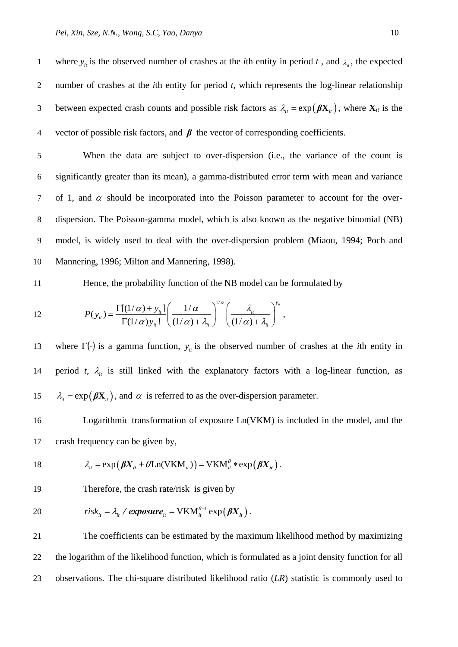1 where  $y_i$  is the observed number of crashes at the *i*th entity in period *t*, and  $\lambda_i$ , the expected 2 number of crashes at the *i*th entity for period *t*, which represents the log-linear relationship 3 between expected crash counts and possible risk factors as  $\lambda_i = \exp(\beta \mathbf{X}_i)$ , where  $\mathbf{X}_i$  is the 4 vector of possible risk factors, and *β* the vector of corresponding coefficients.

5 When the data are subject to over-dispersion (i.e., the variance of the count is 6 significantly greater than its mean), a gamma-distributed error term with mean and variance 7 of 1, and  $\alpha$  should be incorporated into the Poisson parameter to account for the over-8 dispersion. The Poisson-gamma model, which is also known as the negative binomial (NB) 9 model, is widely used to deal with the over-dispersion problem (Miaou, 1994; Poch and 10 Mannering, 1996; Milton and Mannering, 1998).

11 Hence, the probability function of the NB model can be formulated by

12 
$$
P(y_{it}) = \frac{\Gamma[(1/\alpha) + y_{it}]}{\Gamma(1/\alpha)y_{it}!} \left(\frac{1/\alpha}{(1/\alpha) + \lambda_{it}}\right)^{1/\alpha} \left(\frac{\lambda_{it}}{(1/\alpha) + \lambda_{it}}\right)^{y_{it}},
$$

13 where  $\Gamma(\cdot)$  is a gamma function,  $y_i$  is the observed number of crashes at the *i*th entity in 14 period *t*,  $\lambda_{it}$  is still linked with the explanatory factors with a log-linear function, as 15  $\lambda_{ii} = \exp(\beta \mathbf{X}_{ii})$ , and  $\alpha$  is referred to as the over-dispersion parameter.

16 Logarithmic transformation of exposure Ln(VKM) is included in the model, and the 17 crash frequency can be given by,

18 
$$
\lambda_{it} = \exp(\beta X_{it} + \theta \text{Ln}(VKM_{it})) = VKM_{it}^{\theta} * \exp(\beta X_{it}).
$$

19 Therefore, the crash rate/risk is given by

20 
$$
risk_{it} = \lambda_{it} / exposure_{it} = \text{VKM}_{it}^{\theta-1} \exp(\beta X_{it}).
$$

21 The coefficients can be estimated by the maximum likelihood method by maximizing 22 the logarithm of the likelihood function, which is formulated as a joint density function for all 23 observations. The chi-square distributed likelihood ratio (*LR*) statistic is commonly used to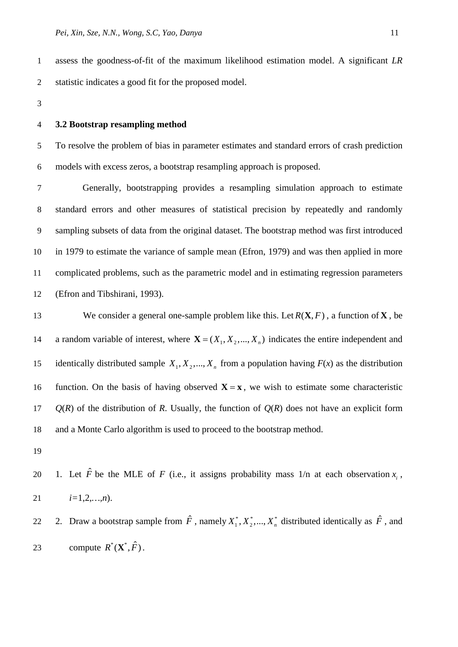1 assess the goodness-of-fit of the maximum likelihood estimation model. A significant *LR* 2 statistic indicates a good fit for the proposed model.

3

# 4 **3.2 Bootstrap resampling method**

5 To resolve the problem of bias in parameter estimates and standard errors of crash prediction 6 models with excess zeros, a bootstrap resampling approach is proposed.

7 Generally, bootstrapping provides a resampling simulation approach to estimate 8 standard errors and other measures of statistical precision by repeatedly and randomly 9 sampling subsets of data from the original dataset. The bootstrap method was first introduced 10 in 1979 to estimate the variance of sample mean (Efron, 1979) and was then applied in more 11 complicated problems, such as the parametric model and in estimating regression parameters 12 (Efron and Tibshirani, 1993).

13 We consider a general one-sample problem like this. Let  $R(X, F)$ , a function of **X**, be 14 a random variable of interest, where  $X = (X_1, X_2, ..., X_n)$  indicates the entire independent and identically distributed sample  $X_1, X_2, ..., X_n$  from a population having  $F(x)$  as the distribution 16 function. On the basis of having observed  $X = x$ , we wish to estimate some characteristic 17  $O(R)$  of the distribution of *R*. Usually, the function of  $O(R)$  does not have an explicit form 18 and a Monte Carlo algorithm is used to proceed to the bootstrap method.

19

1. Let  $\hat{F}$  be the MLE of *F* (i.e., it assigns probability mass 1/n at each observation  $x_i$ , 21 *i=*1,2*,…,n*).

22 2. Draw a bootstrap sample from  $\hat{F}$ , namely  $X_1^*, X_2^*,..., X_n^*$  distributed identically as  $\hat{F}$ , and 23 compute  $\mathbf{R}^*(\mathbf{X}^*, \hat{F})$ .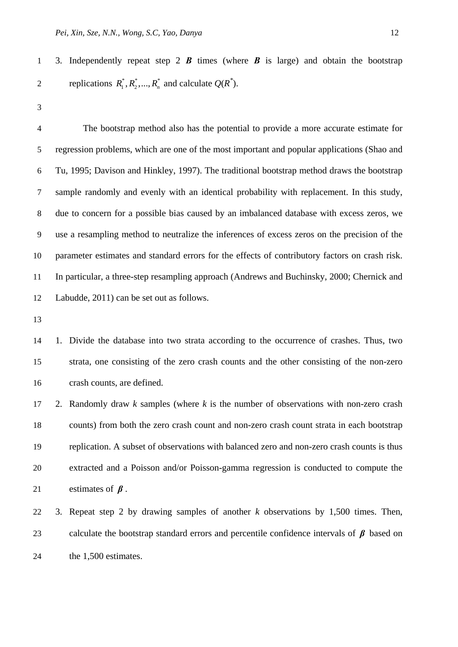1 3. Independently repeat step 2 *B* times (where *B* is large) and obtain the bootstrap eplications  $R_1^*, R_2^*,..., R_n^*$  and calculate  $Q(R^*)$ .

3

4 The bootstrap method also has the potential to provide a more accurate estimate for 5 regression problems, which are one of the most important and popular applications (Shao and 6 Tu, 1995; Davison and Hinkley, 1997). The traditional bootstrap method draws the bootstrap 7 sample randomly and evenly with an identical probability with replacement. In this study, 8 due to concern for a possible bias caused by an imbalanced database with excess zeros, we 9 use a resampling method to neutralize the inferences of excess zeros on the precision of the 10 parameter estimates and standard errors for the effects of contributory factors on crash risk. 11 In particular, a three-step resampling approach (Andrews and Buchinsky, 2000; Chernick and 12 Labudde, 2011) can be set out as follows.

13

14 1. Divide the database into two strata according to the occurrence of crashes. Thus, two 15 strata, one consisting of the zero crash counts and the other consisting of the non-zero 16 crash counts, are defined.

17 2. Randomly draw *k* samples (where *k* is the number of observations with non-zero crash 18 counts) from both the zero crash count and non-zero crash count strata in each bootstrap 19 replication. A subset of observations with balanced zero and non-zero crash counts is thus 20 extracted and a Poisson and/or Poisson-gamma regression is conducted to compute the 21 estimates of *β* .

22 3. Repeat step 2 by drawing samples of another *k* observations by 1,500 times. Then, 23 calculate the bootstrap standard errors and percentile confidence intervals of *β* based on 24 the 1,500 estimates.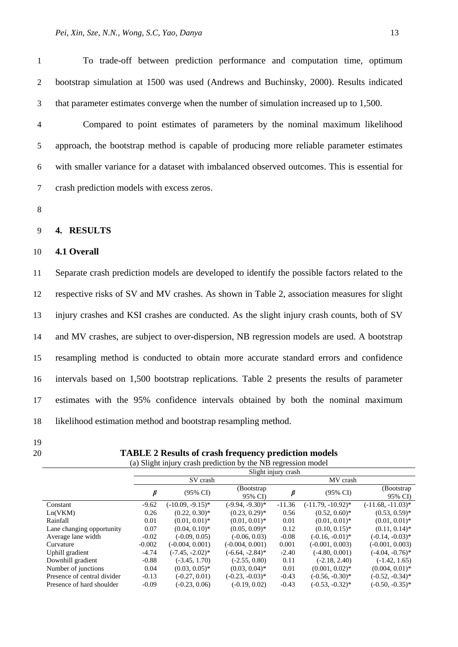1 To trade-off between prediction performance and computation time, optimum 2 bootstrap simulation at 1500 was used (Andrews and Buchinsky, 2000). Results indicated 3 that parameter estimates converge when the number of simulation increased up to 1,500.

4 Compared to point estimates of parameters by the nominal maximum likelihood 5 approach, the bootstrap method is capable of producing more reliable parameter estimates 6 with smaller variance for a dataset with imbalanced observed outcomes. This is essential for 7 crash prediction models with excess zeros.

8

#### 9 **4. RESULTS**

# 10 **4.1 Overall**

11 Separate crash prediction models are developed to identify the possible factors related to the 12 respective risks of SV and MV crashes. As shown in Table 2, association measures for slight 13 injury crashes and KSI crashes are conducted. As the slight injury crash counts, both of SV 14 and MV crashes, are subject to over-dispersion, NB regression models are used. A bootstrap 15 resampling method is conducted to obtain more accurate standard errors and confidence 16 intervals based on 1,500 bootstrap replications. Table 2 presents the results of parameter 17 estimates with the 95% confidence intervals obtained by both the nominal maximum 18 likelihood estimation method and bootstrap resampling method.

- 19
- 

20 **TABLE 2 Results of crash frequency prediction models**  (a) Slight injury crash prediction by the NB regression model

|                             |          |                     |                    | Slight injury crash |                      |                      |  |  |
|-----------------------------|----------|---------------------|--------------------|---------------------|----------------------|----------------------|--|--|
|                             | SV crash |                     |                    |                     | MV crash             |                      |  |  |
|                             | β        | $(95\% \text{ CI})$ | (Bootstrap)        | $\beta$             | $(95\% \text{ CI})$  | (Bootstrap)          |  |  |
|                             |          |                     | 95% CD             |                     |                      | 95% CI               |  |  |
| Constant                    | $-9.62$  | $(-10.09, -9.15)^*$ | $(-9.94, -9.30)^*$ | $-11.36$            | $(-11.79, -10.92)^*$ | $(-11.68, -11.03)^*$ |  |  |
| Ln(VKM)                     | 0.26     | $(0.22, 0.30)^*$    | $(0.23, 0.29)^*$   | 0.56                | $(0.52, 0.60)^*$     | $(0.53, 0.59)^*$     |  |  |
| Rainfall                    | 0.01     | $(0.01, 0.01)^*$    | $(0.01, 0.01)^*$   | 0.01                | $(0.01, 0.01)^*$     | $(0.01, 0.01)^*$     |  |  |
| Lane changing opportunity   | 0.07     | $(0.04, 0.10)^*$    | $(0.05, 0.09)^*$   | 0.12                | $(0.10, 0.15)^*$     | $(0.11, 0.14)^*$     |  |  |
| Average lane width          | $-0.02$  | $(-0.09, 0.05)$     | $(-0.06, 0.03)$    | $-0.08$             | $(-0.16, -0.01)^*$   | $(-0.14, -0.03)^*$   |  |  |
| Curvature                   | $-0.002$ | $(-0.004, 0.001)$   | $(-0.004, 0.001)$  | 0.001               | $(-0.001, 0.003)$    | $(-0.001, 0.003)$    |  |  |
| Uphill gradient             | $-4.74$  | $(-7.45, -2.02)^*$  | $(-6.64, -2.84)^*$ | $-2.40$             | $(-4.80, 0.001)$     | $(-4.04, -0.76)^*$   |  |  |
| Downhill gradient           | $-0.88$  | $(-3.45, 1.70)$     | $(-2.55, 0.80)$    | 0.11                | $(-2.18, 2.40)$      | $(-1.42, 1.65)$      |  |  |
| Number of junctions         | 0.04     | $(0.03, 0.05)^*$    | $(0.03, 0.04)^*$   | 0.01                | $(0.001, 0.02)^*$    | $(0.004, 0.01)^*$    |  |  |
| Presence of central divider | $-0.13$  | $(-0.27, 0.01)$     | $(-0.23, -0.03)^*$ | $-0.43$             | $(-0.56, -0.30)^*$   | $(-0.52, -0.34)^*$   |  |  |
| Presence of hard shoulder   | $-0.09$  | $(-0.23, 0.06)$     | $(-0.19, 0.02)$    | $-0.43$             | $(-0.53, -0.32)^*$   | $(-0.50, -0.35)^*$   |  |  |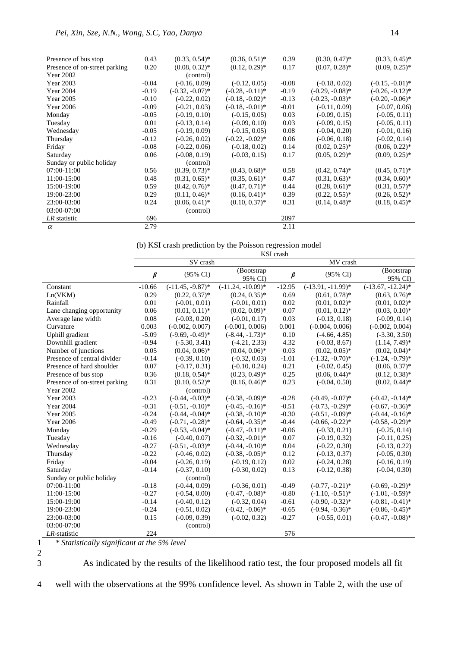| Presence of bus stop          | 0.43    | $(0.33, 0.54)^*$   | $(0.36, 0.51)^*$   | 0.39    | $(0.30, 0.47)^*$   | $(0.33, 0.45)^*$   |
|-------------------------------|---------|--------------------|--------------------|---------|--------------------|--------------------|
| Presence of on-street parking | 0.20    | $(0.08, 0.32)^*$   | $(0.12, 0.29)^*$   | 0.17    | $(0.07, 0.28)^*$   | $(0.09, 0.25)^*$   |
| Year 2002                     |         | (control)          |                    |         |                    |                    |
| Year 2003                     | $-0.04$ | $(-0.16, 0.09)$    | $(-0.12, 0.05)$    | $-0.08$ | $(-0.18, 0.02)$    | $(-0.15, -0.01)^*$ |
| Year 2004                     | $-0.19$ | $(-0.32, -0.07)^*$ | $(-0.28, -0.11)^*$ | $-0.19$ | $(-0.29, -0.08)^*$ | $(-0.26, -0.12)^*$ |
| Year 2005                     | $-0.10$ | $(-0.22, 0.02)$    | $(-0.18, -0.02)^*$ | $-0.13$ | $(-0.23, -0.03)^*$ | $(-0.20, -0.06)^*$ |
| <b>Year 2006</b>              | $-0.09$ | $(-0.21, 0.03)$    | $(-0.18, -0.01)^*$ | $-0.01$ | $(-0.11, 0.09)$    | $(-0.07, 0.06)$    |
| Monday                        | $-0.05$ | $(-0.19, 0.10)$    | $(-0.15, 0.05)$    | 0.03    | $(-0.09, 0.15)$    | $(-0.05, 0.11)$    |
| Tuesday                       | 0.01    | $(-0.13, 0.14)$    | $(-0.09, 0.10)$    | 0.03    | $(-0.09, 0.15)$    | $(-0.05, 0.11)$    |
| Wednesday                     | $-0.05$ | $(-0.19, 0.09)$    | $(-0.15, 0.05)$    | 0.08    | $(-0.04, 0.20)$    | $(-0.01, 0.16)$    |
| Thursday                      | $-0.12$ | $(-0.26, 0.02)$    | $(-0.22, -0.02)^*$ | 0.06    | $(-0.06, 0.18)$    | $(-0.02, 0.14)$    |
| Friday                        | $-0.08$ | $(-0.22, 0.06)$    | $(-0.18, 0.02)$    | 0.14    | $(0.02, 0.25)^*$   | $(0.06, 0.22)^*$   |
| Saturday                      | 0.06    | $(-0.08, 0.19)$    | $(-0.03, 0.15)$    | 0.17    | $(0.05, 0.29)^*$   | $(0.09, 0.25)^*$   |
| Sunday or public holiday      |         | (control)          |                    |         |                    |                    |
| 07:00-11:00                   | 0.56    | $(0.39, 0.73)^*$   | $(0.43, 0.68)^*$   | 0.58    | $(0.42, 0.74)^*$   | $(0.45, 0.71)^*$   |
| 11:00-15:00                   | 0.48    | $(0.31, 0.65)^*$   | $(0.35, 0.61)^*$   | 0.47    | $(0.31, 0.63)^*$   | $(0.34, 0.60)^*$   |
| 15:00-19:00                   | 0.59    | $(0.42, 0.76)^*$   | $(0.47, 0.71)^*$   | 0.44    | $(0.28, 0.61)^*$   | $(0.31, 0.57)^*$   |
| 19:00-23:00                   | 0.29    | $(0.11, 0.46)^*$   | $(0.16, 0.41)^*$   | 0.39    | $(0.22, 0.55)^*$   | $(0.26, 0.52)^*$   |
| 23:00-03:00                   | 0.24    | $(0.06, 0.41)^*$   | $(0.10, 0.37)^*$   | 0.31    | $(0.14, 0.48)^*$   | $(0.18, 0.45)^*$   |
| 03:00-07:00                   |         | (control)          |                    |         |                    |                    |
| LR statistic                  | 696     |                    |                    | 2097    |                    |                    |
| $\alpha$                      | 2.79    |                    |                    | 2.11    |                    |                    |

#### (b) KSI crash prediction by the Poisson regression model

|                                                                                                                      | KSI crash |                     |                     |          |                      |                      |
|----------------------------------------------------------------------------------------------------------------------|-----------|---------------------|---------------------|----------|----------------------|----------------------|
|                                                                                                                      |           | SV crash            |                     |          | MV crash             |                      |
|                                                                                                                      |           |                     | (Bootstrap          |          |                      | (Bootstrap)          |
|                                                                                                                      | $\beta$   | (95% CI)            | 95% CI)             | $\beta$  | (95% CI)             | 95% CI)              |
| Constant                                                                                                             | $-10.66$  | $(-11.45, -9.87)^*$ | $(-11.24, -10.09)*$ | $-12.95$ | $(-13.91, -11.99)$ * | $(-13.67, -12.24)^*$ |
| Ln(VKM)                                                                                                              | 0.29      | $(0.22, 0.37)^*$    | $(0.24, 0.35)^*$    | 0.69     | $(0.61, 0.78)^*$     | $(0.63, 0.76)^*$     |
| Rainfall                                                                                                             | 0.01      | $(-0.01, 0.01)$     | $(-0.01, 0.01)$     | 0.02     | $(0.01, 0.02)$ *     | $(0.01, 0.02)^*$     |
| Lane changing opportunity                                                                                            | 0.06      | $(0.01, 0.11)^*$    | $(0.02, 0.09)^*$    | 0.07     | $(0.01, 0.12)^*$     | $(0.03, 0.10)^*$     |
| Average lane width                                                                                                   | 0.08      | $(-0.03, 0.20)$     | $(-0.01, 0.17)$     | 0.03     | $(-0.13, 0.18)$      | $(-0.09, 0.14)$      |
| Curvature                                                                                                            | 0.003     | $(-0.002, 0.007)$   | $(-0.001, 0.006)$   | 0.001    | $(-0.004, 0.006)$    | $(-0.002, 0.004)$    |
| Uphill gradient                                                                                                      | $-5.09$   | $(-9.69, -0.49)$ *  | $(-8.44, -1.73)*$   | 0.10     | $(-4.66, 4.85)$      | $(-3.30, 3.50)$      |
| Downhill gradient                                                                                                    | $-0.94$   | $(-5.30, 3.41)$     | $(-4.21, 2.33)$     | 4.32     | $(-0.03, 8.67)$      | $(1.14, 7.49)^*$     |
| Number of junctions                                                                                                  | 0.05      | $(0.04, 0.06)^*$    | $(0.04, 0.06)^*$    | 0.03     | $(0.02, 0.05)^*$     | $(0.02, 0.04)^*$     |
| Presence of central divider                                                                                          | $-0.14$   | $(-0.39, 0.10)$     | $(-0.32, 0.03)$     | $-1.01$  | $(-1.32, -0.70)*$    | $(-1.24, -0.79)$ *   |
| Presence of hard shoulder                                                                                            | $0.07\,$  | $(-0.17, 0.31)$     | $(-0.10, 0.24)$     | 0.21     | $(-0.02, 0.45)$      | $(0.06, 0.37)^*$     |
| Presence of bus stop                                                                                                 | 0.36      | $(0.18, 0.54)^*$    | $(0.23, 0.49)^*$    | 0.25     | $(0.06, 0.44)$ *     | $(0.12, 0.38)^*$     |
| Presence of on-street parking                                                                                        | 0.31      | $(0.10, 0.52)$ *    | $(0.16, 0.46)^*$    | 0.23     | $(-0.04, 0.50)$      | $(0.02, 0.44)$ *     |
| <b>Year 2002</b>                                                                                                     |           | (control)           |                     |          |                      |                      |
| Year 2003                                                                                                            | $-0.23$   | $(-0.44, -0.03)*$   | $(-0.38, -0.09)*$   | $-0.28$  | $(-0.49, -0.07)*$    | $(-0.42, -0.14)$ *   |
| <b>Year 2004</b>                                                                                                     | $-0.31$   | $(-0.51, -0.10)^*$  | $(-0.45, -0.16)^*$  | $-0.51$  | $(-0.73, -0.29)*$    | $(-0.67, -0.36)^*$   |
| <b>Year 2005</b>                                                                                                     | $-0.24$   | $(-0.44, -0.04)$ *  | $(-0.38, -0.10)^*$  | $-0.30$  | $(-0.51, -0.09)^*$   | $(-0.44, -0.16)^*$   |
| <b>Year 2006</b>                                                                                                     | $-0.49$   | $(-0.71, -0.28)$ *  | $(-0.64, -0.35)^*$  | $-0.44$  | $(-0.66, -0.22)$ *   | $(-0.58, -0.29)$ *   |
| Monday                                                                                                               | $-0.29$   | $(-0.53, -0.04)^*$  | $(-0.47, -0.11)^*$  | $-0.06$  | $(-0.33, 0.21)$      | $(-0.25, 0.14)$      |
| Tuesday                                                                                                              | $-0.16$   | $(-0.40, 0.07)$     | $(-0.32, -0.01)^*$  | 0.07     | $(-0.19, 0.32)$      | $(-0.11, 0.25)$      |
| Wednesday                                                                                                            | $-0.27$   | $(-0.51, -0.03)^*$  | $(-0.44, -0.10)*$   | 0.04     | $(-0.22, 0.30)$      | $(-0.13, 0.22)$      |
| Thursday                                                                                                             | $-0.22$   | $(-0.46, 0.02)$     | $(-0.38, -0.05)^*$  | 0.12     | $(-0.13, 0.37)$      | $(-0.05, 0.30)$      |
| Friday                                                                                                               | $-0.04$   | $(-0.26, 0.19)$     | $(-0.19, 0.12)$     | 0.02     | $(-0.24, 0.28)$      | $(-0.16, 0.19)$      |
| Saturday                                                                                                             | $-0.14$   | $(-0.37, 0.10)$     | $(-0.30, 0.02)$     | 0.13     | $(-0.12, 0.38)$      | $(-0.04, 0.30)$      |
| Sunday or public holiday                                                                                             |           | (control)           |                     |          |                      |                      |
| 07:00-11:00                                                                                                          | $-0.18$   | $(-0.44, 0.09)$     | $(-0.36, 0.01)$     | $-0.49$  | $(-0.77, -0.21)^*$   | $(-0.69, -0.29)$ *   |
| 11:00-15:00                                                                                                          | $-0.27$   | $(-0.54, 0.00)$     | $(-0.47, -0.08)$ *  | $-0.80$  | $(-1.10, -0.51)^*$   | $(-1.01, -0.59)*$    |
| 15:00-19:00                                                                                                          | $-0.14$   | $(-0.40, 0.12)$     | $(-0.32, 0.04)$     | $-0.61$  | $(-0.90, -0.32)*$    | $(-0.81, -0.41)^*$   |
| 19:00-23:00                                                                                                          | $-0.24$   | $(-0.51, 0.02)$     | $(-0.42, -0.06)^*$  | $-0.65$  | $(-0.94, -0.36)^*$   | $(-0.86, -0.45)^*$   |
| 23:00-03:00                                                                                                          | 0.15      | $(-0.09, 0.39)$     | $(-0.02, 0.32)$     | $-0.27$  | $(-0.55, 0.01)$      | $(-0.47, -0.08)$ *   |
| 03:00-07:00                                                                                                          |           | (control)           |                     |          |                      |                      |
| LR-statistic<br>$\mathbf{a}$ and $\mathbf{a}$ and $\mathbf{a}$ and $\mathbf{a}$<br>$\overline{11}$<br>$\cdot$ $\sim$ | 224       | $FQ \neq 1$         |                     | 576      |                      |                      |

1 *\* Statistically significant at the 5% level* 

2

3 As indicated by the results of the likelihood ratio test, the four proposed models all fit

4 well with the observations at the 99% confidence level. As shown in Table 2, with the use of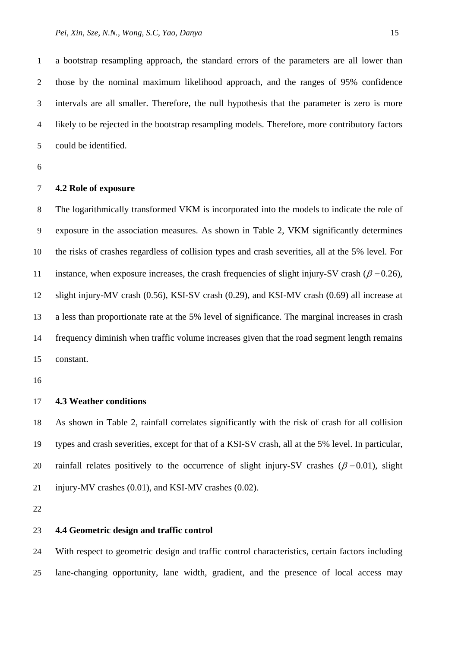1 a bootstrap resampling approach, the standard errors of the parameters are all lower than 2 those by the nominal maximum likelihood approach, and the ranges of 95% confidence 3 intervals are all smaller. Therefore, the null hypothesis that the parameter is zero is more 4 likely to be rejected in the bootstrap resampling models. Therefore, more contributory factors 5 could be identified.

6

# 7 **4.2 Role of exposure**

8 The logarithmically transformed VKM is incorporated into the models to indicate the role of 9 exposure in the association measures. As shown in Table 2, VKM significantly determines 10 the risks of crashes regardless of collision types and crash severities, all at the 5% level. For 11 instance, when exposure increases, the crash frequencies of slight injury-SV crash ( $\beta$  = 0.26), 12 slight injury-MV crash (0.56), KSI-SV crash (0.29), and KSI-MV crash (0.69) all increase at 13 a less than proportionate rate at the 5% level of significance. The marginal increases in crash 14 frequency diminish when traffic volume increases given that the road segment length remains 15 constant.

16

# 17 **4.3 Weather conditions**

18 As shown in Table 2, rainfall correlates significantly with the risk of crash for all collision 19 types and crash severities, except for that of a KSI-SV crash, all at the 5% level. In particular, 20 rainfall relates positively to the occurrence of slight injury-SV crashes ( $\beta$ =0.01), slight 21 injury-MV crashes (0.01), and KSI-MV crashes (0.02).

22

#### 23 **4.4 Geometric design and traffic control**

24 With respect to geometric design and traffic control characteristics, certain factors including 25 lane-changing opportunity, lane width, gradient, and the presence of local access may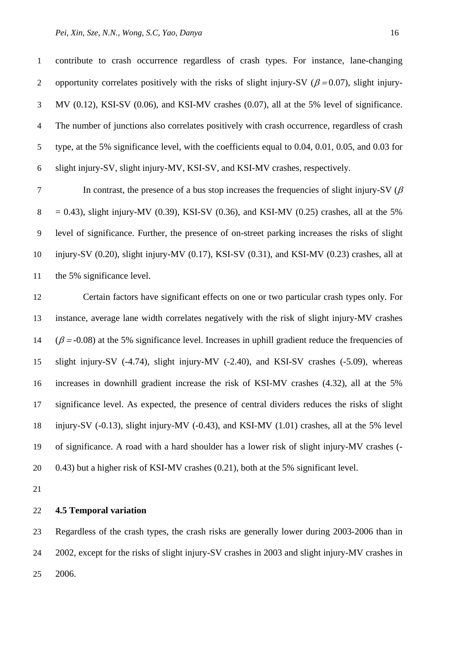1 contribute to crash occurrence regardless of crash types. For instance, lane-changing 2 opportunity correlates positively with the risks of slight injury-SV ( $\beta$  = 0.07), slight injury-3 MV (0.12), KSI-SV (0.06), and KSI-MV crashes (0.07), all at the 5% level of significance. 4 The number of junctions also correlates positively with crash occurrence, regardless of crash 5 type, at the 5% significance level, with the coefficients equal to 0.04, 0.01, 0.05, and 0.03 for 6 slight injury-SV, slight injury-MV, KSI-SV, and KSI-MV crashes, respectively.

7 In contrast, the presence of a bus stop increases the frequencies of slight injury-SV ( $\beta$ 8 = 0.43), slight injury-MV (0.39), KSI-SV (0.36), and KSI-MV (0.25) crashes, all at the 5% 9 level of significance. Further, the presence of on-street parking increases the risks of slight 10 injury-SV (0.20), slight injury-MV (0.17), KSI-SV (0.31), and KSI-MV (0.23) crashes, all at 11 the 5% significance level.

12 Certain factors have significant effects on one or two particular crash types only. For 13 instance, average lane width correlates negatively with the risk of slight injury-MV crashes 14 ( $\beta$  = -0.08) at the 5% significance level. Increases in uphill gradient reduce the frequencies of 15 slight injury-SV (-4.74), slight injury-MV (-2.40), and KSI-SV crashes (-5.09), whereas 16 increases in downhill gradient increase the risk of KSI-MV crashes (4.32), all at the 5% 17 significance level. As expected, the presence of central dividers reduces the risks of slight 18 injury-SV (-0.13), slight injury-MV (-0.43), and KSI-MV (1.01) crashes, all at the 5% level 19 of significance. A road with a hard shoulder has a lower risk of slight injury-MV crashes (- 20 0.43) but a higher risk of KSI-MV crashes (0.21), both at the 5% significant level.

21

# 22 **4.5 Temporal variation**

23 Regardless of the crash types, the crash risks are generally lower during 2003-2006 than in 24 2002, except for the risks of slight injury-SV crashes in 2003 and slight injury-MV crashes in 25 2006.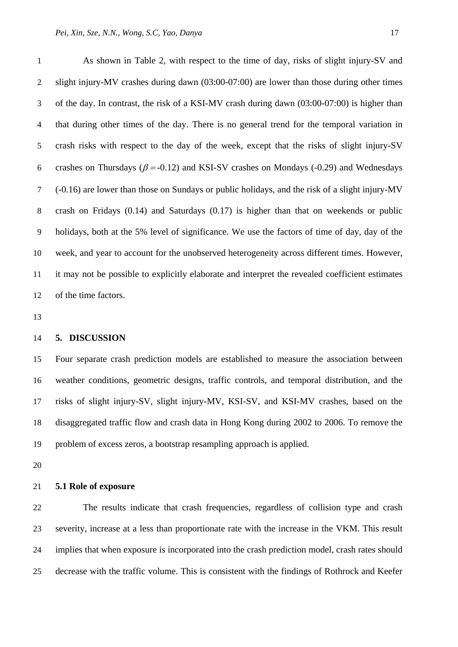1 As shown in Table 2, with respect to the time of day, risks of slight injury-SV and 2 slight injury-MV crashes during dawn (03:00-07:00) are lower than those during other times 3 of the day. In contrast, the risk of a KSI-MV crash during dawn (03:00-07:00) is higher than 4 that during other times of the day. There is no general trend for the temporal variation in 5 crash risks with respect to the day of the week, except that the risks of slight injury-SV 6 crashes on Thursdays ( $\beta$  = -0.12) and KSI-SV crashes on Mondays (-0.29) and Wednesdays 7 (-0.16) are lower than those on Sundays or public holidays, and the risk of a slight injury-MV 8 crash on Fridays (0.14) and Saturdays (0.17) is higher than that on weekends or public 9 holidays, both at the 5% level of significance. We use the factors of time of day, day of the 10 week, and year to account for the unobserved heterogeneity across different times. However, 11 it may not be possible to explicitly elaborate and interpret the revealed coefficient estimates 12 of the time factors.

13

#### 14 **5. DISCUSSION**

15 Four separate crash prediction models are established to measure the association between 16 weather conditions, geometric designs, traffic controls, and temporal distribution, and the 17 risks of slight injury-SV, slight injury-MV, KSI-SV, and KSI-MV crashes, based on the 18 disaggregated traffic flow and crash data in Hong Kong during 2002 to 2006. To remove the 19 problem of excess zeros, a bootstrap resampling approach is applied.

20

# 21 **5.1 Role of exposure**

22 The results indicate that crash frequencies, regardless of collision type and crash 23 severity, increase at a less than proportionate rate with the increase in the VKM. This result 24 implies that when exposure is incorporated into the crash prediction model, crash rates should 25 decrease with the traffic volume. This is consistent with the findings of Rothrock and Keefer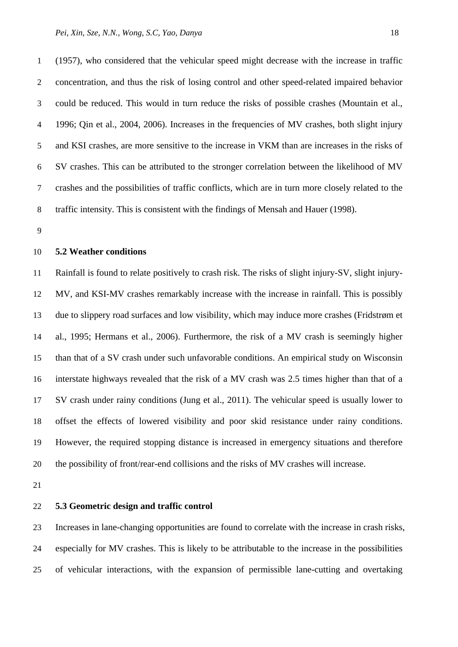1 (1957), who considered that the vehicular speed might decrease with the increase in traffic 2 concentration, and thus the risk of losing control and other speed-related impaired behavior 3 could be reduced. This would in turn reduce the risks of possible crashes (Mountain et al., 4 1996; Qin et al., 2004, 2006). Increases in the frequencies of MV crashes, both slight injury 5 and KSI crashes, are more sensitive to the increase in VKM than are increases in the risks of 6 SV crashes. This can be attributed to the stronger correlation between the likelihood of MV 7 crashes and the possibilities of traffic conflicts, which are in turn more closely related to the 8 traffic intensity. This is consistent with the findings of Mensah and Hauer (1998).

9

# 10 **5.2 Weather conditions**

11 Rainfall is found to relate positively to crash risk. The risks of slight injury-SV, slight injury-12 MV, and KSI-MV crashes remarkably increase with the increase in rainfall. This is possibly 13 due to slippery road surfaces and low visibility, which may induce more crashes (Fridstrøm et 14 al., 1995; Hermans et al., 2006). Furthermore, the risk of a MV crash is seemingly higher 15 than that of a SV crash under such unfavorable conditions. An empirical study on Wisconsin 16 interstate highways revealed that the risk of a MV crash was 2.5 times higher than that of a 17 SV crash under rainy conditions (Jung et al., 2011). The vehicular speed is usually lower to 18 offset the effects of lowered visibility and poor skid resistance under rainy conditions. 19 However, the required stopping distance is increased in emergency situations and therefore 20 the possibility of front/rear-end collisions and the risks of MV crashes will increase.

21

#### 22 **5.3 Geometric design and traffic control**

23 Increases in lane-changing opportunities are found to correlate with the increase in crash risks, 24 especially for MV crashes. This is likely to be attributable to the increase in the possibilities 25 of vehicular interactions, with the expansion of permissible lane-cutting and overtaking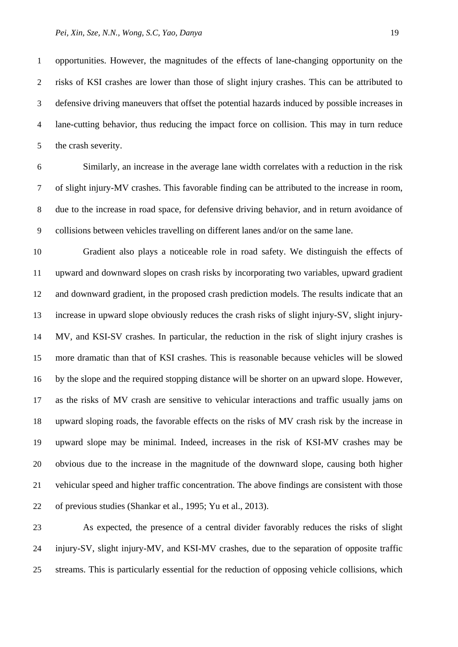1 opportunities. However, the magnitudes of the effects of lane-changing opportunity on the 2 risks of KSI crashes are lower than those of slight injury crashes. This can be attributed to 3 defensive driving maneuvers that offset the potential hazards induced by possible increases in 4 lane-cutting behavior, thus reducing the impact force on collision. This may in turn reduce 5 the crash severity.

6 Similarly, an increase in the average lane width correlates with a reduction in the risk 7 of slight injury-MV crashes. This favorable finding can be attributed to the increase in room, 8 due to the increase in road space, for defensive driving behavior, and in return avoidance of 9 collisions between vehicles travelling on different lanes and/or on the same lane.

10 Gradient also plays a noticeable role in road safety. We distinguish the effects of 11 upward and downward slopes on crash risks by incorporating two variables, upward gradient 12 and downward gradient, in the proposed crash prediction models. The results indicate that an 13 increase in upward slope obviously reduces the crash risks of slight injury-SV, slight injury-14 MV, and KSI-SV crashes. In particular, the reduction in the risk of slight injury crashes is 15 more dramatic than that of KSI crashes. This is reasonable because vehicles will be slowed 16 by the slope and the required stopping distance will be shorter on an upward slope. However, 17 as the risks of MV crash are sensitive to vehicular interactions and traffic usually jams on 18 upward sloping roads, the favorable effects on the risks of MV crash risk by the increase in 19 upward slope may be minimal. Indeed, increases in the risk of KSI-MV crashes may be 20 obvious due to the increase in the magnitude of the downward slope, causing both higher 21 vehicular speed and higher traffic concentration. The above findings are consistent with those 22 of previous studies (Shankar et al., 1995; Yu et al., 2013).

23 As expected, the presence of a central divider favorably reduces the risks of slight 24 injury-SV, slight injury-MV, and KSI-MV crashes, due to the separation of opposite traffic 25 streams. This is particularly essential for the reduction of opposing vehicle collisions, which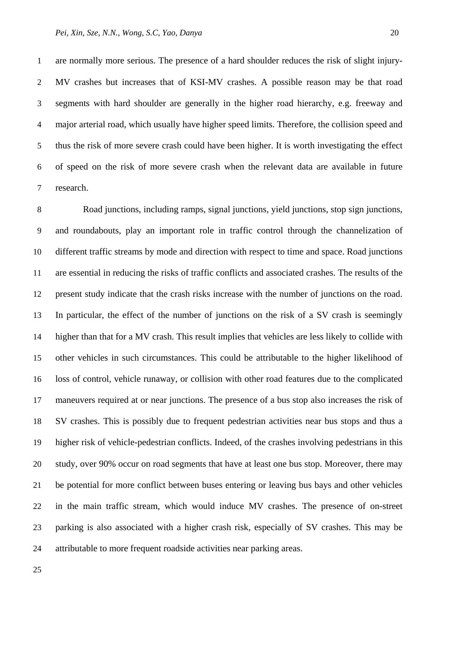1 are normally more serious. The presence of a hard shoulder reduces the risk of slight injury-2 MV crashes but increases that of KSI-MV crashes. A possible reason may be that road 3 segments with hard shoulder are generally in the higher road hierarchy, e.g. freeway and 4 major arterial road, which usually have higher speed limits. Therefore, the collision speed and 5 thus the risk of more severe crash could have been higher. It is worth investigating the effect 6 of speed on the risk of more severe crash when the relevant data are available in future 7 research.

8 Road junctions, including ramps, signal junctions, yield junctions, stop sign junctions, 9 and roundabouts, play an important role in traffic control through the channelization of 10 different traffic streams by mode and direction with respect to time and space. Road junctions 11 are essential in reducing the risks of traffic conflicts and associated crashes. The results of the 12 present study indicate that the crash risks increase with the number of junctions on the road. 13 In particular, the effect of the number of junctions on the risk of a SV crash is seemingly 14 higher than that for a MV crash. This result implies that vehicles are less likely to collide with 15 other vehicles in such circumstances. This could be attributable to the higher likelihood of 16 loss of control, vehicle runaway, or collision with other road features due to the complicated 17 maneuvers required at or near junctions. The presence of a bus stop also increases the risk of 18 SV crashes. This is possibly due to frequent pedestrian activities near bus stops and thus a 19 higher risk of vehicle-pedestrian conflicts. Indeed, of the crashes involving pedestrians in this 20 study, over 90% occur on road segments that have at least one bus stop. Moreover, there may 21 be potential for more conflict between buses entering or leaving bus bays and other vehicles 22 in the main traffic stream, which would induce MV crashes. The presence of on-street 23 parking is also associated with a higher crash risk, especially of SV crashes. This may be 24 attributable to more frequent roadside activities near parking areas.

25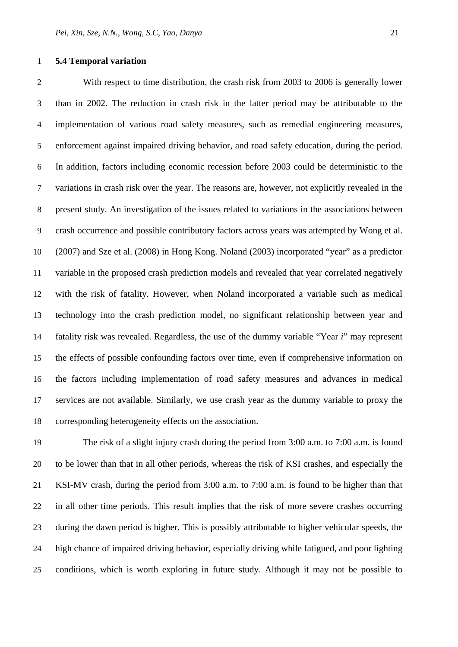#### 1 **5.4 Temporal variation**

2 With respect to time distribution, the crash risk from 2003 to 2006 is generally lower 3 than in 2002. The reduction in crash risk in the latter period may be attributable to the 4 implementation of various road safety measures, such as remedial engineering measures, 5 enforcement against impaired driving behavior, and road safety education, during the period. 6 In addition, factors including economic recession before 2003 could be deterministic to the 7 variations in crash risk over the year. The reasons are, however, not explicitly revealed in the 8 present study. An investigation of the issues related to variations in the associations between 9 crash occurrence and possible contributory factors across years was attempted by Wong et al. 10 (2007) and Sze et al. (2008) in Hong Kong. Noland (2003) incorporated "year" as a predictor 11 variable in the proposed crash prediction models and revealed that year correlated negatively 12 with the risk of fatality. However, when Noland incorporated a variable such as medical 13 technology into the crash prediction model, no significant relationship between year and 14 fatality risk was revealed. Regardless, the use of the dummy variable "Year *i*" may represent 15 the effects of possible confounding factors over time, even if comprehensive information on 16 the factors including implementation of road safety measures and advances in medical 17 services are not available. Similarly, we use crash year as the dummy variable to proxy the 18 corresponding heterogeneity effects on the association.

19 The risk of a slight injury crash during the period from 3:00 a.m. to 7:00 a.m. is found 20 to be lower than that in all other periods, whereas the risk of KSI crashes, and especially the 21 KSI-MV crash, during the period from 3:00 a.m. to 7:00 a.m. is found to be higher than that 22 in all other time periods. This result implies that the risk of more severe crashes occurring 23 during the dawn period is higher. This is possibly attributable to higher vehicular speeds, the 24 high chance of impaired driving behavior, especially driving while fatigued, and poor lighting 25 conditions, which is worth exploring in future study. Although it may not be possible to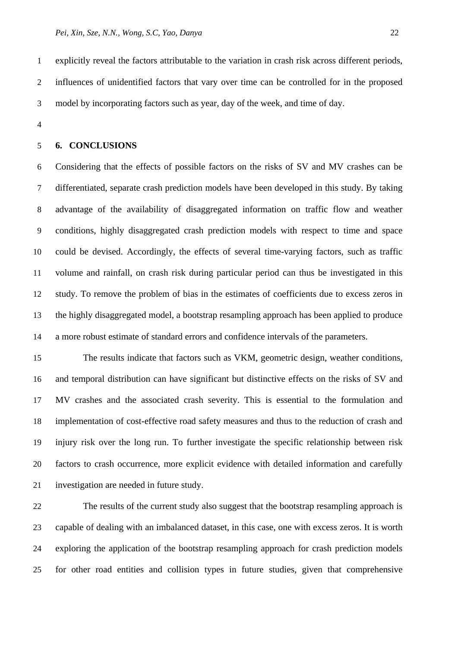1 explicitly reveal the factors attributable to the variation in crash risk across different periods, 2 influences of unidentified factors that vary over time can be controlled for in the proposed 3 model by incorporating factors such as year, day of the week, and time of day.

4

#### 5 **6. CONCLUSIONS**

6 Considering that the effects of possible factors on the risks of SV and MV crashes can be 7 differentiated, separate crash prediction models have been developed in this study. By taking 8 advantage of the availability of disaggregated information on traffic flow and weather 9 conditions, highly disaggregated crash prediction models with respect to time and space 10 could be devised. Accordingly, the effects of several time-varying factors, such as traffic 11 volume and rainfall, on crash risk during particular period can thus be investigated in this 12 study. To remove the problem of bias in the estimates of coefficients due to excess zeros in 13 the highly disaggregated model, a bootstrap resampling approach has been applied to produce 14 a more robust estimate of standard errors and confidence intervals of the parameters.

15 The results indicate that factors such as VKM, geometric design, weather conditions, 16 and temporal distribution can have significant but distinctive effects on the risks of SV and 17 MV crashes and the associated crash severity. This is essential to the formulation and 18 implementation of cost-effective road safety measures and thus to the reduction of crash and 19 injury risk over the long run. To further investigate the specific relationship between risk 20 factors to crash occurrence, more explicit evidence with detailed information and carefully 21 investigation are needed in future study.

22 The results of the current study also suggest that the bootstrap resampling approach is 23 capable of dealing with an imbalanced dataset, in this case, one with excess zeros. It is worth 24 exploring the application of the bootstrap resampling approach for crash prediction models 25 for other road entities and collision types in future studies, given that comprehensive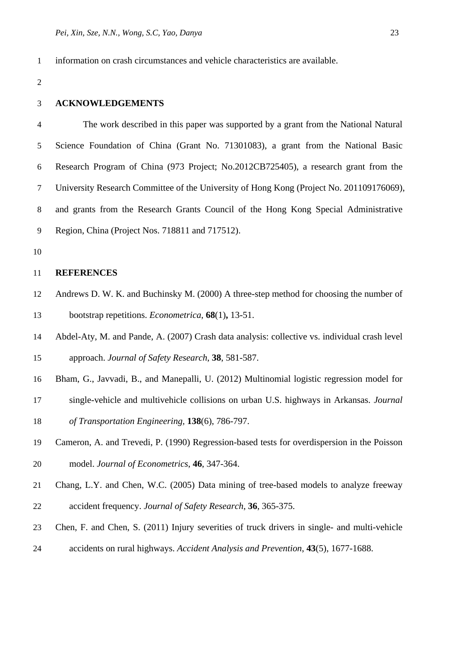1 information on crash circumstances and vehicle characteristics are available.

2

#### 3 **ACKNOWLEDGEMENTS**

4 The work described in this paper was supported by a grant from the National Natural 5 Science Foundation of China (Grant No. 71301083), a grant from the National Basic 6 Research Program of China (973 Project; No.2012CB725405), a research grant from the 7 University Research Committee of the University of Hong Kong (Project No. 201109176069), 8 and grants from the Research Grants Council of the Hong Kong Special Administrative 9 Region, China (Project Nos. 718811 and 717512).

10

# 11 **REFERENCES**

- 12 Andrews D. W. K. and Buchinsky M. (2000) A three-step method for choosing the number of 13 bootstrap repetitions. *Econometrica*, **68**(1)**,** 13-51.
- 14 Abdel-Aty, M. and Pande, A. (2007) Crash data analysis: collective vs. individual crash level 15 approach. *Journal of Safety Research*, **38**, 581-587.
- 16 Bham, G., Javvadi, B., and Manepalli, U. (2012) Multinomial logistic regression model for
- 17 single-vehicle and multivehicle collisions on urban U.S. highways in Arkansas. *Journal*
- 18 *of Transportation Engineering,* **138**(6), 786-797.
- 19 Cameron, A. and Trevedi, P. (1990) Regression-based tests for overdispersion in the Poisson 20 model. *Journal of Econometrics*, **46**, 347-364.
- 21 Chang, L.Y. and Chen, W.C. (2005) Data mining of tree-based models to analyze freeway 22 accident frequency. *Journal of Safety Research*, **36**, 365-375.
- 23 Chen, F. and Chen, S. (2011) Injury severities of truck drivers in single- and multi-vehicle
- 24 accidents on rural highways. *Accident Analysis and Prevention*, **43**(5), 1677-1688.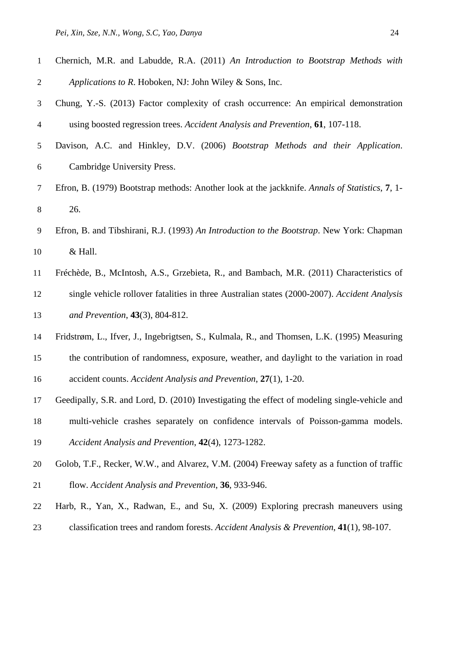- 1 Chernich, M.R. and Labudde, R.A. (2011) *An Introduction to Bootstrap Methods with*  2 *Applications to R*. Hoboken, NJ: John Wiley & Sons, Inc.
- 3 Chung, Y.-S. (2013) Factor complexity of crash occurrence: An empirical demonstration 4 using boosted regression trees. *Accident Analysis and Prevention*, **61**, 107-118.
- 5 Davison, A.C. and Hinkley, D.V. (2006) *Bootstrap Methods and their Application*. 6 Cambridge University Press.
- 7 Efron, B. (1979) Bootstrap methods: Another look at the jackknife. *Annals of Statistics*, **7**, 1- 8 26.
- 9 Efron, B. and Tibshirani, R.J. (1993) *An Introduction to the Bootstrap*. New York: Chapman 10 & Hall.
- 11 Fréchède, B., McIntosh, A.S., Grzebieta, R., and Bambach, M.R. (2011) Characteristics of 12 single vehicle rollover fatalities in three Australian states (2000-2007). *Accident Analysis*  13 *and Prevention*, **43**(3), 804-812.
- 14 Fridstrøm, L., Ifver, J., Ingebrigtsen, S., Kulmala, R., and Thomsen, L.K. (1995) Measuring
- 15 the contribution of randomness, exposure, weather, and daylight to the variation in road
- 16 accident counts. *Accident Analysis and Prevention*, **27**(1), 1-20.
- 17 Geedipally, S.R. and Lord, D. (2010) Investigating the effect of modeling single-vehicle and
- 18 multi-vehicle crashes separately on confidence intervals of Poisson-gamma models.
- 19 *Accident Analysis and Prevention*, **42**(4), 1273-1282.
- 20 Golob, T.F., Recker, W.W., and Alvarez, V.M. (2004) Freeway safety as a function of traffic 21 flow. *Accident Analysis and Prevention*, **36**, 933-946.
- 22 Harb, R., Yan, X., Radwan, E., and Su, X. (2009) Exploring precrash maneuvers using
- 23 classification trees and random forests. *Accident Analysis & Prevention*, **41**(1), 98-107.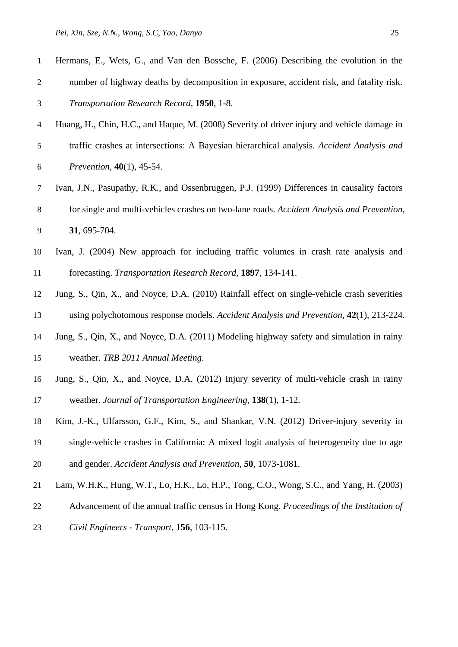| $\overline{2}$ | number of highway deaths by decomposition in exposure, accident risk, and fatality risk.     |
|----------------|----------------------------------------------------------------------------------------------|
| 3              | Transportation Research Record, 1950, 1-8.                                                   |
| $\overline{4}$ | Huang, H., Chin, H.C., and Haque, M. (2008) Severity of driver injury and vehicle damage in  |
| 5              | traffic crashes at intersections: A Bayesian hierarchical analysis. Accident Analysis and    |
| 6              | Prevention, $40(1)$ , 45-54.                                                                 |
| $\tau$         | Ivan, J.N., Pasupathy, R.K., and Ossenbruggen, P.J. (1999) Differences in causality factors  |
| $8\,$          | for single and multi-vehicles crashes on two-lane roads. Accident Analysis and Prevention,   |
| $\mathbf{9}$   | 31, 695-704.                                                                                 |
| 10             | Ivan, J. (2004) New approach for including traffic volumes in crash rate analysis and        |
| 11             | forecasting. Transportation Research Record, 1897, 134-141.                                  |
| 12             | Jung, S., Qin, X., and Noyce, D.A. (2010) Rainfall effect on single-vehicle crash severities |
| 13             | using polychotomous response models. Accident Analysis and Prevention, 42(1), 213-224.       |
| 14             | Jung, S., Qin, X., and Noyce, D.A. (2011) Modeling highway safety and simulation in rainy    |
| 15             | weather. TRB 2011 Annual Meeting.                                                            |
| 16             | Jung, S., Qin, X., and Noyce, D.A. (2012) Injury severity of multi-vehicle crash in rainy    |
| 17             | weather. Journal of Transportation Engineering, 138(1), 1-12.                                |
| 18             | Kim, J.-K., Ulfarsson, G.F., Kim, S., and Shankar, V.N. (2012) Driver-injury severity in     |
| 19             | single-vehicle crashes in California: A mixed logit analysis of heterogeneity due to age     |
| 20             | and gender. Accident Analysis and Prevention, 50, 1073-1081.                                 |
| 21             | Lam, W.H.K., Hung, W.T., Lo, H.K., Lo, H.P., Tong, C.O., Wong, S.C., and Yang, H. (2003)     |
| 22             | Advancement of the annual traffic census in Hong Kong. Proceedings of the Institution of     |

1 Hermans, E., Wets, G., and Van den Bossche, F. (2006) Describing the evolution in the

23 *Civil Engineers - Transport*, **156**, 103-115.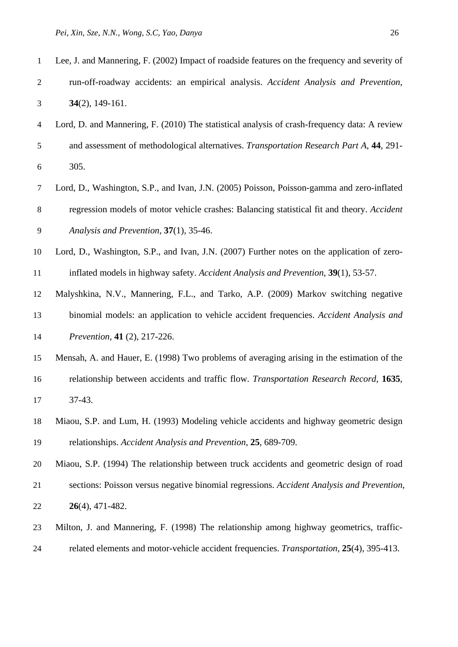| $\mathbf{1}$     | Lee, J. and Mannering, F. (2002) Impact of roadside features on the frequency and severity of |
|------------------|-----------------------------------------------------------------------------------------------|
| $\overline{2}$   | run-off-roadway accidents: an empirical analysis. Accident Analysis and Prevention,           |
| 3                | $34(2)$ , 149-161.                                                                            |
| $\overline{4}$   | Lord, D. and Mannering, F. (2010) The statistical analysis of crash-frequency data: A review  |
| 5                | and assessment of methodological alternatives. Transportation Research Part A, 44, 291-       |
| $\boldsymbol{6}$ | 305.                                                                                          |
| $\overline{7}$   | Lord, D., Washington, S.P., and Ivan, J.N. (2005) Poisson, Poisson-gamma and zero-inflated    |
| $8\,$            | regression models of motor vehicle crashes: Balancing statistical fit and theory. Accident    |
| 9                | Analysis and Prevention, 37(1), 35-46.                                                        |
| 10               | Lord, D., Washington, S.P., and Ivan, J.N. (2007) Further notes on the application of zero-   |
| 11               | inflated models in highway safety. Accident Analysis and Prevention, 39(1), 53-57.            |
| 12               | Malyshkina, N.V., Mannering, F.L., and Tarko, A.P. (2009) Markov switching negative           |
| 13               | binomial models: an application to vehicle accident frequencies. Accident Analysis and        |
| 14               | Prevention, 41 (2), 217-226.                                                                  |
| 15               | Mensah, A. and Hauer, E. (1998) Two problems of averaging arising in the estimation of the    |
| 16               | relationship between accidents and traffic flow. Transportation Research Record, 1635,        |
| 17               | $37-43.$                                                                                      |
| 18               | Miaou, S.P. and Lum, H. (1993) Modeling vehicle accidents and highway geometric design        |
| 19               | relationships. Accident Analysis and Prevention, 25, 689-709.                                 |
| 20               | Miaou, S.P. (1994) The relationship between truck accidents and geometric design of road      |
| 21               | sections: Poisson versus negative binomial regressions. Accident Analysis and Prevention,     |
| 22               | $26(4)$ , 471-482.                                                                            |
| 23               | Milton, J. and Mannering, F. (1998) The relationship among highway geometrics, traffic-       |
| 24               | related elements and motor-vehicle accident frequencies. Transportation, 25(4), 395-413.      |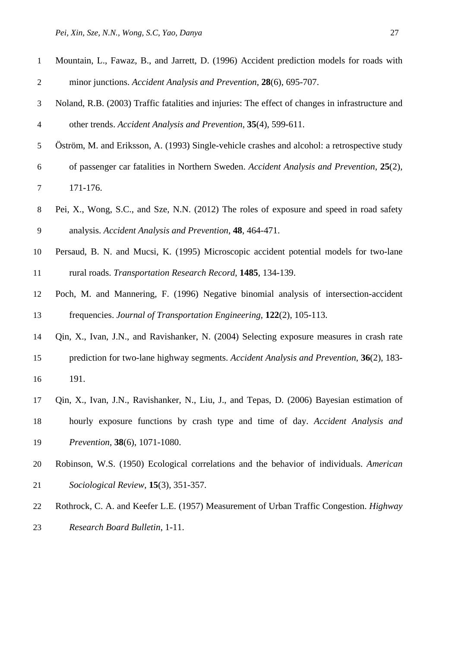- 3 Noland, R.B. (2003) Traffic fatalities and injuries: The effect of changes in infrastructure and 4 other trends. *Accident Analysis and Prevention*, **35**(4), 599-611.
- 5 Öström, M. and Eriksson, A. (1993) Single-vehicle crashes and alcohol: a retrospective study
- 6 of passenger car fatalities in Northern Sweden. *Accident Analysis and Prevention*, **25**(2), 7 171-176.
- 8 Pei, X., Wong, S.C., and Sze, N.N. (2012) The roles of exposure and speed in road safety 9 analysis. *Accident Analysis and Prevention*, **48**, 464-471.
- 10 Persaud, B. N. and Mucsi, K. (1995) Microscopic accident potential models for two-lane 11 rural roads. *Transportation Research Record*, **1485**, 134-139.
- 12 Poch, M. and Mannering, F. (1996) Negative binomial analysis of intersection-accident 13 frequencies. *Journal of Transportation Engineering*, **122**(2), 105-113.
- 14 Qin, X., Ivan, J.N., and Ravishanker, N. (2004) Selecting exposure measures in crash rate 15 prediction for two-lane highway segments. *Accident Analysis and Prevention*, **36**(2), 183- 16 191.
- 17 Qin, X., Ivan, J.N., Ravishanker, N., Liu, J., and Tepas, D. (2006) Bayesian estimation of 18 hourly exposure functions by crash type and time of day. *Accident Analysis and*  19 *Prevention*, **38**(6), 1071-1080.
- 20 Robinson, W.S. (1950) Ecological correlations and the behavior of individuals. *American*  21 *Sociological Review*, **15**(3), 351-357.
- 22 Rothrock, C. A. and Keefer L.E. (1957) Measurement of Urban Traffic Congestion. *Highway*
- 23 *Research Board Bulletin*, 1-11.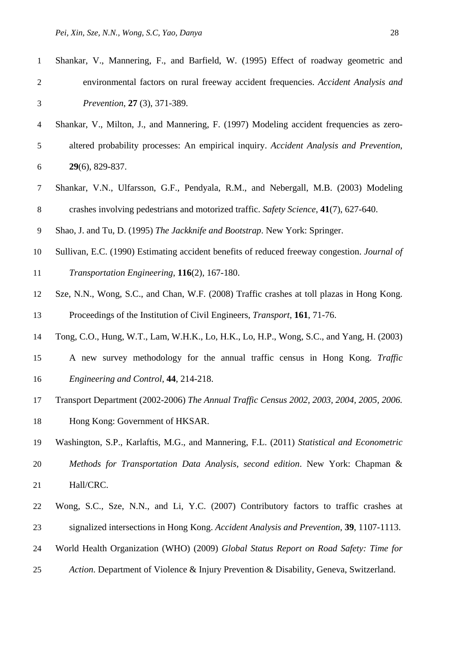- 1 Shankar, V., Mannering, F., and Barfield, W. (1995) Effect of roadway geometric and 2 environmental factors on rural freeway accident frequencies. *Accident Analysis and*  3 *Prevention*, **27** (3), 371-389.
- 4 Shankar, V., Milton, J., and Mannering, F. (1997) Modeling accident frequencies as zero-5 altered probability processes: An empirical inquiry. *Accident Analysis and Prevention*, 6 **29**(6), 829-837.
- 7 Shankar, V.N., Ulfarsson, G.F., Pendyala, R.M., and Nebergall, M.B. (2003) Modeling 8 crashes involving pedestrians and motorized traffic. *Safety Science*, **41**(7), 627-640.

9 Shao, J. and Tu, D. (1995) *The Jackknife and Bootstrap*. New York: Springer.

- 10 Sullivan, E.C. (1990) Estimating accident benefits of reduced freeway congestion. *Journal of*  11 *Transportation Engineering*, **116**(2), 167-180.
- 12 Sze, N.N., Wong, S.C., and Chan, W.F. (2008) Traffic crashes at toll plazas in Hong Kong. 13 Proceedings of the Institution of Civil Engineers, *Transport*, **161**, 71-76.
- 14 Tong, C.O., Hung, W.T., Lam, W.H.K., Lo, H.K., Lo, H.P., Wong, S.C., and Yang, H. (2003)
- 15 A new survey methodology for the annual traffic census in Hong Kong. *Traffic*  16 *Engineering and Control*, **44**, 214-218.
- 17 Transport Department (2002-2006) *The Annual Traffic Census 2002, 2003, 2004, 2005, 2006.* 18 Hong Kong: Government of HKSAR.
- 19 Washington, S.P., Karlaftis, M.G., and Mannering, F.L. (2011) *Statistical and Econometric*  20 *Methods for Transportation Data Analysis, second edition*. New York: Chapman & 21 Hall/CRC.
- 22 Wong, S.C., Sze, N.N., and Li, Y.C. (2007) Contributory factors to traffic crashes at 23 signalized intersections in Hong Kong. *Accident Analysis and Prevention*, **39**, 1107-1113.
- 24 World Health Organization (WHO) (2009) *Global Status Report on Road Safety: Time for*
- 25 *Action*. Department of Violence & Injury Prevention & Disability, Geneva, Switzerland.